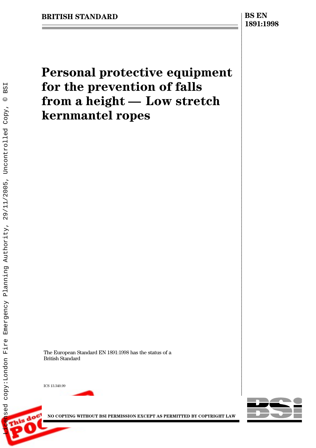| | | | | | | | | | | | | | | | | | | | | | | | | | | | | | | | | | | | | | | | | | | | | | | | | | | | | | | | | | | | | | | | | | | | | | | | | | | | | | | | | | | | | | | | | | | | | | | | | | | | | | | | | | | | | | | | | | | | | | | |

# **Personal protective equipment for the prevention of falls** from a height – Low stretch **kernmantel ropes**

The European Standard EN 1891:1998 has the status of a British Standard

ICS 13.340.99



**NO COPYING WITHOUT BSI PERMISSION EXCEPT AS PERMITTED BY COPYRIGHT LAW**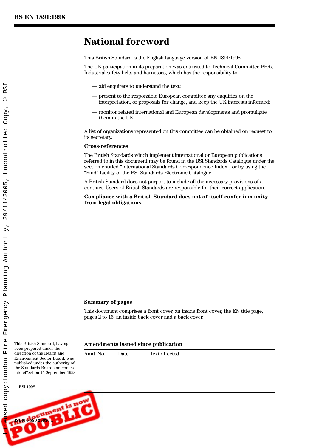# **National foreword**

This British Standard is the English language version of EN 1891:1998.

The UK participation in its preparation was entrusted to Technical Committee PH/5, Industrial safety belts and harnesses, which has the responsibility to:

- $\overline{\phantom{a}}$  aid enquirers to understand the text;
- Ð present to the responsible European committee any enquiries on the interpretation, or proposals for change, and keep the UK interests informed;
- Ð monitor related international and European developments and promulgate them in the UK.

A list of organizations represented on this committee can be obtained on request to its secretary.

#### **Cross-references**

The British Standards which implement international or European publications referred to in this document may be found in the BSI Standards Catalogue under the section entitled "International Standards Correspondence Index", or by using the ªFindº facility of the BSI Standards Electronic Catalogue.

A British Standard does not purport to include all the necessary provisions of a contract. Users of British Standards are responsible for their correct application.

**Compliance with a British Standard does not of itself confer immunity from legal obligations.**

# **Summary of pages**

This document comprises a front cover, an inside front cover, the EN title page, pages 2 to 16, an inside back cover and a back cover.

#### **Amendments issued since publication**

| been prepared under the                                                                          |          |      |               |  |  |  |
|--------------------------------------------------------------------------------------------------|----------|------|---------------|--|--|--|
| direction of the Health and<br>Environment Sector Board, was<br>published under the authority of | Amd. No. | Date | Text affected |  |  |  |
| the Standards Board and comes<br>into effect on 15 September 1998                                |          |      |               |  |  |  |
| © BSI 1998                                                                                       |          |      |               |  |  |  |
|                                                                                                  |          |      |               |  |  |  |
| ocument is now<br><b>ISBN 0 580 29836 1</b>                                                      |          |      |               |  |  |  |
|                                                                                                  |          |      |               |  |  |  |

This British Standard, having

**ISBN 0 580 29836 1**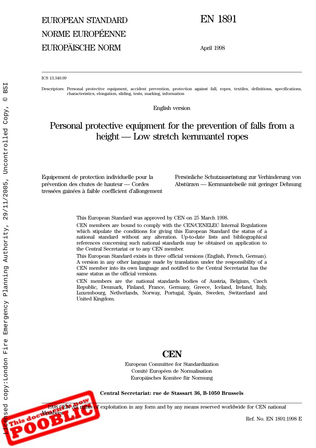# EUROPEAN STANDARD EN 1891 NORME EUROPÉENNE EUROPAÈISCHE NORM April 1998

ICS 13.340.99

Descriptors: Personal protective equipment, accident prevention, protection against fall, ropes, textiles, definitions, specifications, characteristics, elongation, sliding, tests, marking, information

English version

# Personal protective equipment for the prevention of falls from a height — Low stretch kernmantel ropes

Equipement de protection individuelle pour la prévention des chutes de hauteur — Cordes tressées gainées à faible coefficient d'allongement Persönliche Schutzausrüstung zur Verhinderung von Abstürzen – Kernmantelseile mit geringer Dehnung

This European Standard was approved by CEN on 25 March 1998.

CEN members are bound to comply with the CEN/CENELEC Internal Regulations which stipulate the conditions for giving this European Standard the status of a national standard without any alteration. Up-to-date lists and bibliographical references concerning such national standards may be obtained on application to the Central Secretariat or to any CEN member.

This European Standard exists in three official versions (English, French, German). A version in any other language made by translation under the responsibility of a CEN member into its own language and notified to the Central Secretariat has the same status as the official versions.

CEN members are the national standards bodies of Austria, Belgium, Czech Republic, Denmark, Finland, France, Germany, Greece, Iceland, Ireland, Italy, Luxembourg, Netherlands, Norway, Portugal, Spain, Sweden, Switzerland and United Kingdom.

# **CEN**

European Committee for Standardization Comité Européen de Normalisation Europäisches Komitee für Normung

**Central Secretariat: rue de Stassart 36, B-1050 Brussels**

1998 CEN All rights of exploitation in any form and by any means reserved worldwide for CEN national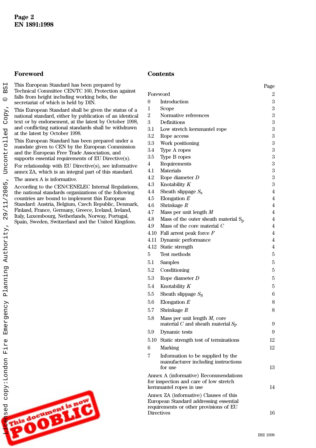# **Foreword**

# **Contents**

| This European Standard has been prepared by                                                                                                                      |                |                                         | Page                    |
|------------------------------------------------------------------------------------------------------------------------------------------------------------------|----------------|-----------------------------------------|-------------------------|
| Technical Committee CEN/TC 160, Protection against<br>falls from height including working belts, the                                                             | Foreword       |                                         | $\overline{2}$          |
| secretariat of which is held by DIN.                                                                                                                             |                | Introduction                            | $\sqrt{3}$              |
| This European Standard shall be given the status of a<br>national standard, either by publication of an identical                                                | $\mathbf 1$    | Scope                                   | $\sqrt{3}$              |
|                                                                                                                                                                  | $\sqrt{2}$     | Normative references                    | $\boldsymbol{3}$        |
| text or by endorsement, at the latest by October 1998,                                                                                                           | $\sqrt{3}$     | Definitions                             | $\sqrt{3}$              |
| and conflicting national standards shall be withdrawn                                                                                                            | 3.1            | Low stretch kernmantel rope             | $\sqrt{3}$              |
| at the latest by October 1998.                                                                                                                                   | 3.2            | Rope access                             | $\sqrt{3}$              |
| This European Standard has been prepared under a<br>mandate given to CEN by the European Commission                                                              | 3.3            | Work positioning                        | $\sqrt{3}$              |
| and the European Free Trade Association, and                                                                                                                     | 3.4            | Type A ropes                            | $\sqrt{3}$              |
| supports essential requirements of EU Directive(s).                                                                                                              | $3.5\,$        | Type B ropes                            | $\sqrt{3}$              |
| For relationship with EU Directive $(s)$ , see informative                                                                                                       | $\overline{4}$ | Requirements                            | $\sqrt{3}$              |
| annex ZA, which is an integral part of this standard.                                                                                                            | 4.1            | Materials                               | $\boldsymbol{3}$        |
| The annex A is informative.                                                                                                                                      | 4.2            | Rope diameter $D$                       | $\sqrt{3}$              |
| According to the CEN/CENELEC Internal Regulations,                                                                                                               | 4.3            | Knotability K                           | $\sqrt{3}$              |
| the national standards organizations of the following                                                                                                            | 4.4            | Sheath slippage $S_s$                   | $\overline{\mathbf{4}}$ |
| countries are bound to implement this European                                                                                                                   | 4.5            | Elongation $E$                          | $\overline{\mathbf{4}}$ |
| Standard: Austria, Belgium, Czech Republic, Denmark,<br>Finland, France, Germany, Greece, Iceland, Ireland,<br>Italy, Luxembourg, Netherlands, Norway, Portugal, | 4.6            | Shrinkage $R$                           | $\overline{\mathbf{4}}$ |
|                                                                                                                                                                  | 4.7            | Mass per unit length $M$                | $\overline{4}$          |
| Spain, Sweden, Switzerland and the United Kingdom.                                                                                                               | 4.8            | Mass of the outer sheath material $S_p$ | $\overline{\mathbf{4}}$ |
|                                                                                                                                                                  | 4.9            | Mass of the core material $C$           | $\overline{4}$          |
|                                                                                                                                                                  | 4.10           | Fall arrest peak force $F$              | 4                       |
|                                                                                                                                                                  |                | 4.11 Dynamic performance                | $\overline{4}$          |
|                                                                                                                                                                  |                | 4.12 Static strength                    | $\overline{4}$          |
|                                                                                                                                                                  | $\bf 5$        | Test methods                            | $\bf 5$                 |
|                                                                                                                                                                  | 5.1            | <b>Samples</b>                          | $\bf 5$                 |
|                                                                                                                                                                  | 5.2            | Conditioning                            | $\bf 5$                 |
|                                                                                                                                                                  | 5.3            | Rope diameter $D$                       | $\bf 5$                 |
|                                                                                                                                                                  | 5.4            | Knotability $K$                         | $\bf 5$                 |
|                                                                                                                                                                  | 5.5            | Sheath slippage $S_S$                   | $\,6\,$                 |
|                                                                                                                                                                  | 5.6            | Elongation $E$                          | $\,8\,$                 |
|                                                                                                                                                                  | 5.7            | Shrinkage $R$                           | $\,8\,$                 |
|                                                                                                                                                                  | 5.8            | Mass per unit length $M$ , core         |                         |



| 5.1               | <b>Samples</b>                                                                                                             | 5                  |
|-------------------|----------------------------------------------------------------------------------------------------------------------------|--------------------|
| 5.2               | Conditioning                                                                                                               | 5                  |
| 5.3               | Rope diameter $D$                                                                                                          | 5                  |
| 5.4               | Knotability $K$                                                                                                            | 5                  |
| 5.5               | Sheath slippage $S_S$                                                                                                      | 6                  |
| 5.6               | Elongation $E$                                                                                                             | 8                  |
| 5.7               | Shrinkage $R$                                                                                                              | 8                  |
| 5.8               | Mass per unit length $M$ , core<br>material $C$ and sheath material $S_P$                                                  | 9                  |
| 5.9               | Dynamic tests                                                                                                              | 9                  |
| 5.10              | Static strength test of terminations                                                                                       | 12                 |
| 6                 | Marking                                                                                                                    | 12                 |
| 7                 | Information to be supplied by the<br>manufacturer including instructions<br>for use                                        | 13                 |
|                   | Annex A (informative) Recommendations<br>for inspection and care of low stretch<br>kernmantel ropes in use                 | 14                 |
| <b>Directives</b> | Annex ZA (informative) Clauses of this<br>European Standard addressing essential<br>requirements or other provisions of EU | 16                 |
|                   |                                                                                                                            | $\otimes$ Det 1000 |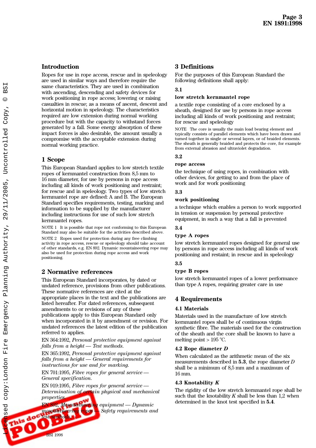# **Introduction**

Ropes for use in rope access, rescue and in speleology are used in similar ways and therefore require the same characteristics. They are used in combination with ascending, descending and safety devices for work positioning in rope access; lowering or raising casualties in rescue; as a means of ascent, descent and horizontal motion in speleology. The characteristics required are low extension during normal working procedure but with the capacity to withstand forces generated by a fall. Some energy absorption of these impact forces is also desirable, the amount usually a compromise with the acceptable extension during normal working practice.

# **1 Scope**

This European Standard applies to low stretch textile ropes of kernmantel construction from 8,5 mm to 16 mm diameter, for use by persons in rope access including all kinds of work positioning and restraint; for rescue and in speleology. Two types of low stretch kernmantel rope are defined: A and B. The European Standard specifies requirements, testing, marking and information to be supplied by the manufacturer including instructions for use of such low stretch kernmantel ropes.

NOTE 1 It is possible that rope not conforming to this European Standard may also be suitable for the activities described above.

NOTE 2 Ropes used for protection during any free climbing activity in rope access, rescue or speleology should take account of other standards, e.g. EN 892. Dynamic mountaineering rope may also be used for protection during rope access and work positioning.

# **2 Normative references**

This European Standard incorporates, by dated or undated reference, provisions from other publications. These normative references are cited at the appropriate places in the text and the publications are listed hereafter. For dated references, subsequent amendments to or revisions of any of these publications apply to this European Standard only when incorporated in it by amendment or revision. For undated references the latest edition of the publication referred to applies.

EN 364:1992, *Personal protective equipment against falls from a height* — Test methods.

EN 365:1992, *Personal protective equipment against falls from a height* — *General requirements for instructions for use and for marking*.

EN 701:1995, *Fibre ropes for general service* — *General specification*.

EN 919:1995, *Fibre ropes for general service* — *Determination of certain physical and mechanical properties*.

EN 892, *Mountaineering equipment* Ð *Dynamic*

**C** BSI 1998

*test methods*.

*mountaineering ropes* Ð *Safety requirements and*

# **3 Definitions**

For the purposes of this European Standard the following definitions shall apply:

# **3.1**

# **low stretch kernmantel rope**

a textile rope consisting of a core enclosed by a sheath, designed for use by persons in rope access including all kinds of work positioning and restraint; for rescue and speleology

NOTE The core is usually the main load bearing element and typically consists of parallel elements which have been drawn and turned together in single or several layers, or of braided elements. The sheath is generally braided and protects the core, for example from external abrasion and ultraviolet degradation.

# **3.2**

# **rope access**

the technique of using ropes, in combination with other devices, for getting to and from the place of work and for work positioning

# **3.3**

# **work positioning**

a technique which enables a person to work supported in tension or suspension by personal protective equipment, in such a way that a fall is prevented

# **3.4**

# **type A ropes**

low stretch kernmantel ropes designed for general use by persons in rope access including all kinds of work positioning and restaint; in rescue and in speleology

# **3.5**

# **type B ropes**

low stretch kernmantel ropes of a lower performance than type A ropes, requiring greater care in use

# **4 Requirements**

# **4.1 Materials**

Materials used in the manufacture of low stretch kernmantel ropes shall be of continuous virgin synthetic fibre. The materials used for the construction of the sheath and the core shall be known to have a melting point  $> 195$  °C.

# **4.2 Rope diameter** *D*

When calculated as the arithmetic mean of the six measurements described in **5.3**, the rope diameter *D* shall be a minimum of 8,5 mm and a maximum of 16 mm.

# **4.3 Knotability** *K*

The rigidity of the low stretch kernmantel rope shall be such that the knotability  $K$  shall be less than  $1,2$  when determined in the knot test specified in **5.4**.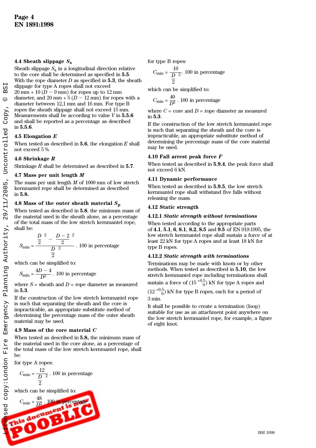# **4.4 Sheath slippage** *S***<sup>s</sup>**

Sheath slippage *S*<sup>s</sup> in a longitudinal direction relative to the core shall be determined as specified in **5.5**. With the rope diameter  $D$  as specified in **5.3**, the sheath slippage for type A ropes shall not exceed  $20 \text{ mm} + 10 (D - 9 \text{ mm})$  for ropes up to 12 mm

diameter, and  $20 \text{ mm} + 5 (D - 12 \text{ mm})$  for ropes with a diameter between 12,1 mm and 16 mm. For type B ropes the sheath slippage shall not exceed 15 mm. Measurements shall be according to value *V* in **5.5.6** and shall be reported as a percentage as described

# **4.5 Elongation** *E*

in **5.5.6**.

When tested as described in **5.6**, the elongation *E* shall not exceed 5 %.

# **4.6 Shrinkage** *R*

Shrinkage *R* shall be determined as described in **5.7**.

# **4.7 Mass per unit length** *M*

The mass per unit length *M* of 1000 mm of low stretch kernmantel rope shall be determined as described in **5.8.**

# **4.8 Mass of the outer sheath material** *S***<sup>p</sup>**

When tested as described in **5.8**, the minimum mass of the material used in the sheath alone, as a percentage of the total mass of the low stretch kernmantel rope, shall be:

$$
S_{\min} = \frac{\left(\frac{D}{2}\right)^2 - \left(\frac{D-2}{2}\right)^2}{\left(\frac{D}{2}\right)^2}
$$
. 100 in percentage

which can be simplified to:

$$
S_{\text{min}} = \frac{4D - 4}{D^2}
$$
. 100 in percentage

where  $S =$  sheath and  $D =$  rope diameter as measured in **5.3**.

If the construction of the low stretch kernmantel rope is such that separating the sheath and the core is impracticable, an appropriate substitute method of determining the percentage mass of the outer sheath material may be used.

# **4.9 Mass of the core material** *C*

When tested as described in **5.8,** the minimum mass of the material used in the core alone, as a percentage of the total mass of the low stretch kernmantel rope, shall be:

for type A ropes:

$$
C_{\min} = \frac{12}{\left(\frac{D}{2}\right)^2}
$$
. 100 in percentage

 $C_{\text{min}} = \frac{48}{D^2}$ . 100 in percentage

which can be simplified to:

for type B ropes:

$$
C_{\text{min}} = \frac{10}{\left(\frac{D}{2}\right)^2}
$$
. 100 in percentage

which can be simplified to:

$$
C_{\min} = \frac{40}{D^2} . 100
$$
 in percentage

where  $C = \text{core}$  and  $D = \text{rope}$  diameter as measured in **5.3**.

If the construction of the low stretch kernmantel rope is such that separating the sheath and the core is impracticable, an appropriate substitute method of determining the percentage mass of the core material may be used.

# **4.10 Fall arrest peak force** *F*

When tested as described in **5.9.4**, the peak force shall not exceed 6 kN.

# **4.11 Dynamic performance**

When tested as described in **5.9.5**, the low stretch kernmantel rope shall withstand five falls without releasing the mass.

# **4.12 Static strength**

# **4.12.1** *Static strength without terminations*

When tested according to the appropriate parts of **4.1**, **5.1**, **6**, **8.1**, **8.2**, **8.5** and **9.5** of EN 919:1995, the low stretch kernmantel rope shall sustain a force of at least 22 kN for type A ropes and at least 18 kN for type B ropes.

# **4.12.2** *Static strength with terminations*

Terminations may be made with knots or by other methods. When tested as described in **5.10**, the low stretch kernmantel rope including terminations shall

sustain a force of  $(15\frac{+0.5}{0})$  kN for type A ropes and

 $(12<sup>+0.5</sup><sub>0</sub>)$  kN for type B ropes, each for a period of 3 min.

It shall be possible to create a termination (loop) suitable for use as an attachment point anywhere on the low stretch kernmantel rope, for example, a figure of eight knot.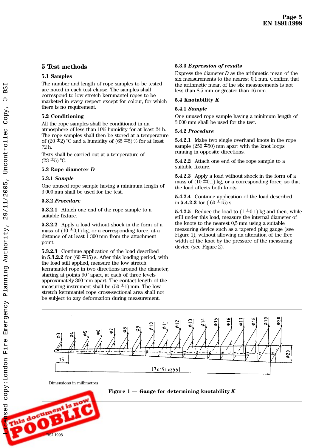# **5 Test methods**

# **5.1 Samples**

The number and length of rope samples to be tested are noted in each test clause. The samples shall correspond to low stretch kernmantel ropes to be marketed in every respect except for colour, for which there is no requirement.

# **5.2 Conditioning**

All the rope samples shall be conditioned in an atmosphere of less than 10% humidity for at least 24 h. The rope samples shall then be stored at a temperature of  $(20 \pm 2)$  °C and a humidity of  $(65 \pm 5)$  % for at least 72 h.

Tests shall be carried out at a temperature of  $(23 \pm 5)$  °C.

# **5.3 Rope diameter** *D*

# **5.3.1** *Sample*

One unused rope sample having a minimum length of 3 000 mm shall be used for the test.

# **5.3.2** *Procedure*

**B** doeumen

**5.3.2.1** Attach one end of the rope sample to a suitable fixture.

**5.3.2.2** Apply a load without shock in the form of a mass of  $(10 \pm 0.1)$  kg, or a corresponding force, at a distance of at least 1 300 mm from the attachment point.

**5.3.2.3** Continue application of the load described in **5.3.2.2** for  $(60 \pm 15)$  s. After this loading period, with the load still applied, measure the low stretch kernmantel rope in two directions around the diameter, starting at points  $90^\circ$  apart, at each of three levels approximately 300 mm apart. The contact length of the measuring instrument shall be  $(50 \pm 1)$  mm. The low stretch kernmantel rope cross-sectional area shall not be subject to any deformation during measurement.

# **5.3.3** *Expression of results*

Express the diameter  $D$  as the arithmetic mean of the six measurements to the nearest 0,1 mm. Confirm that the arithmetic mean of the six measurements is not less than 8,5 mm or greater than 16 mm.

# **5.4 Knotability** *K*

# **5.4.1** *Sample*

One unused rope sample having a minimum length of 3 000 mm shall be used for the test.

#### **5.4.2** *Procedure*

**5.4.2.1** Make two single overhand knots in the rope sample  $(250 \pm 50)$  mm apart with the knot loops running in opposite directions.

**5.4.2.2** Attach one end of the rope sample to a suitable fixture.

**5.4.2.3** Apply a load without shock in the form of a mass of  $(10 \pm 0.1)$  kg, or a corresponding force, so that the load affects both knots.

**5.4.2.4** Continue application of the load described in **5.4.2.3** for ( $60 \pm 15$ ) s.

**5.4.2.5** Reduce the load to  $(1 \pm 0.1)$  kg and then, while still under this load, measure the internal diameter of the knots to the nearest 0,5 mm using a suitable measuring device such as a tapered plug gauge (see Figure 1), without allowing an alteration of the free width of the knot by the pressure of the measuring device (see Figure 2).

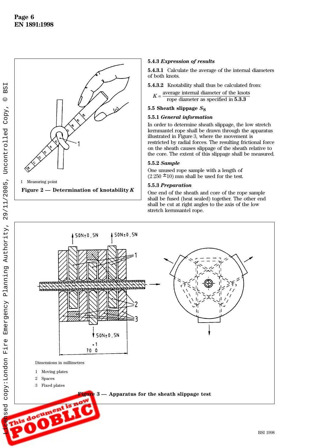Licensed copy:London Fire Emergency Planning Authority, 29/11/2005, Uncontrolled Copy, © BSI

Emergency

Fire

copy: London

sed

Planning Authority, 29/11/2005,

BSI

 $\odot$ 

Copy,

Uncontrolled





# **5.4.3** *Expression of results*

**5.4.3.1** Calculate the average of the internal diameters of both knots.

**5.4.3.2** Knotability shall thus be calculated from:

 $K = \frac{\text{average internal diameter of the knots}}{\text{mean distance as modified in } 5.2.2}$ rope diameter as specified in **5.3.3**

# **5.5 Sheath slippage** *S***<sup>S</sup>**

# **5.5.1** *General information*

In order to determine sheath slippage, the low stretch kernmantel rope shall be drawn through the apparatus illustrated in Figure 3, where the movement is restricted by radial forces. The resulting frictional force on the sheath causes slippage of the sheath relative to the core. The extent of this slippage shall be measured.

# **5.5.2** *Sample*

One unused rope sample with a length of  $(2250 \pm 10)$  mm shall be used for the test.

# **5.5.3** *Preparation*

One end of the sheath and core of the rope sample shall be fused (heat sealed) together. The other end shall be cut at right angles to the axis of the low stretch kernmantel rope.

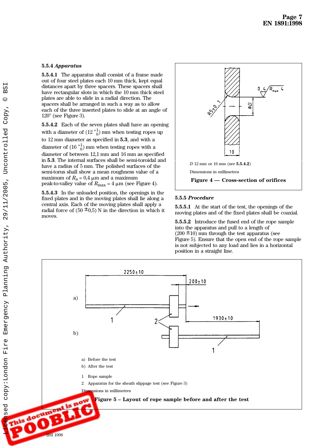# **5.5.4** *Apparatus*

**5.5.4.1** The apparatus shall consist of a frame made out of four steel plates each 10 mm thick, kept equal distances apart by three spacers. These spacers shall have rectangular slots in which the 10 mm thick steel plates are able to slide in a radial direction. The spacers shall be arranged in such a way as to allow each of the three inserted plates to slide at an angle of  $120^\circ$  (see Figure 3).

**5.5.4.2** Each of the seven plates shall have an opening with a diameter of  $(12<sup>+1</sup><sub>0</sub>)$  mm when testing ropes up to 12 mm diameter as specified in **5.3**, and with a diameter of  $(16<sup>+1</sup><sub>0</sub>)$  mm when testing ropes with a

diameter of between 12,1 mm and 16 mm as specified in **5.3**. The internal surfaces shall be semi-toroidal and have a radius of 5 mm. The polished surfaces of the semi-torus shall show a mean roughness value of a maximum of  $R_a = 0.4 \mu$ m and a maximum peak-to-valley value of  $R_{\text{max}} = 4 \mu \text{m}$  (see Figure 4).

**5.5.4.3** In the unloaded position, the openings in the fixed plates and in the moving plates shall lie along a central axis. Each of the moving plates shall apply a radial force of  $(50 \pm 0.5)$  N in the direction in which it moves.



# **5.5.5** *Procedure*

**5.5.5.1** At the start of the test, the openings of the moving plates and of the fixed plates shall be coaxial.

**5.5.5.2** Introduce the fused end of the rope sample into the apparatus and pull to a length of  $(200 \pm 10)$  mm through the test apparatus (see Figure 5). Ensure that the open end of the rope sample is not subjected to any load and lies in a horizontal position in a straight line.



BSI

 $\odot$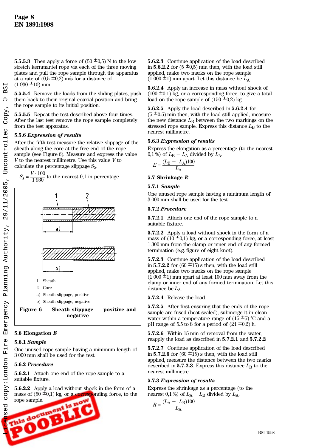**5.5.5.3** Then apply a force of  $(50 \pm 0.5)$  N to the low stretch kernmantel rope via each of the three moving plates and pull the rope sample through the apparatus at a rate of  $(0.5 \pm 0.2)$  m/s for a distance of  $(1.930 \pm 10)$  mm.

**5.5.5.4** Remove the loads from the sliding plates, push them back to their original coaxial position and bring the rope sample to its initial position.

**5.5.5.5** Repeat the test described above four times. After the last test remove the rope sample completely from the test apparatus.

# **5.5.6** *Expression of results*

After the fifth test measure the relative slippage of the sheath along the core at the free end of the rope sample (see Figure 6). Measure and express the value *V* to the nearest millimetre. Use this value *V* to calculate the percentage slippage  $S_S$ .

 $S_s = \frac{V \cdot 100}{1.930}$  to the nearest 0,1 in percentage



b) Sheath slippage, negative

Figure  $6$  – Sheath slippage – positive and **negative**

# **5.6 Elongation** *E*

# **5.6.1** *Sample*

One unused rope sample having a minimum length of 3 000 mm shall be used for the test.

# **5.6.2** *Procedure*

**5.6.2.1** Attach one end of the rope sample to a suitable fixture.

**5.6.2.2** Apply a load without shock in the form of a mass of  $(50 \pm 0,1)$  kg, or a corresponding force, to the rope sample. rope sample.



**5.6.2.4** Apply an increase in mass without shock of  $(100 \pm 0.1)$  kg, or a corresponding force, to give a total load on the rope sample of  $(150 \pm 0.2)$  kg.

**5.6.2.5** Apply the load described in **5.6.2.4** for  $(5\pm0.5)$  min then, with the load still applied, measure the new distance  $L<sub>B</sub>$  between the two markings on the stressed rope sample. Express this distance  $L<sub>B</sub>$  to the nearest millimetre.

# **5.6.3** *Expression of results*

Express the elongation as a percentage (to the nearest 0,1%) of  $L_{\rm B}$  –  $L_{\rm A}$  divided by  $L_{\rm A}$ .

$$
E = \frac{(L_{\rm B} - L_{\rm A})100}{L_{\rm A}}
$$

# **5.7 Shrinkage** *R*

# **5.7.1** *Sample*

One unused rope sample having a minimum length of 3 000 mm shall be used for the test.

#### **5.7.2** *Procedure*

**5.7.2.1** Attach one end of the rope sample to a suitable fixture.

**5.7.2.2** Apply a load without shock in the form of a mass of  $(10 \pm 0.1)$  kg, or a corresponding force, at least 1 300 mm from the clamp or inner end of any formed termination (e.g. figure of eight knot).

**5.7.2.3** Continue application of the load described in **5.7.2.2** for  $(60 \pm 15)$  s then, with the load still applied, make two marks on the rope sample  $(1000 \pm 1)$  mm apart at least 100 mm away from the clamp or inner end of any formed termination. Let this distance be  $L_A$ .

**5.7.2.4** Release the load.

**5.7.2.5** After first ensuring that the ends of the rope sample are fused (heat sealed), submerge it in clean water within a temperature range of  $(15^{\pm}5)$  °C and a pH range of 5.5 to 8 for a period of  $(24 \pm 0.2)$  h.

**5.7.2.6** Within 15 min of removal from the water, reapply the load as described in **5.7.2.1** and **5.7.2.2**

**5.7.2.7** Continue application of the load described in **5.7.2.6** for  $(60 \pm 15)$  s then, with the load still applied, measure the distance between the two marks described in **5.7.2.3**. Express this distance  $L<sub>B</sub>$  to the nearest millimetre.

# **5.7.3** *Expression of results*

Express the shrinkage as a percentage (to the nearest 0,1 %) of  $L_A - L_B$  divided by  $L_A$ .

$$
R = \frac{(L_{\rm A} - L_{\rm B})100}{L_{\rm A}}
$$

BSI

 $\odot$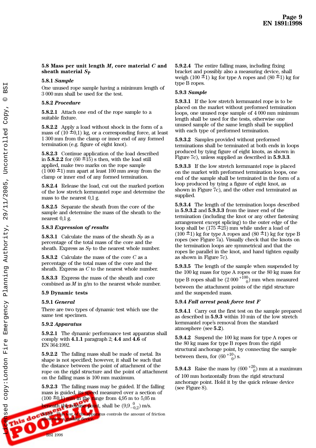#### **5.8 Mass per unit length** *M***, core material** *C* **and sheath material** *S***<sup>P</sup>**

# **5.8.1** *Sample*

One unused rope sample having a minimum length of 3 000 mm shall be used for the test.

# **5.8.2** *Procedure*

**5.8.2.1** Attach one end of the rope sample to a suitable fixture.

**5.8.2.2** Apply a load without shock in the form of a mass of  $(10 \pm 0.1)$  kg, or a corresponding force, at least 1 300 mm from the clamp or inner end of any formed termination (e.g. figure of eight knot).

**5.8.2.3** Continue application of the load described in **5.8.2.2** for  $(60 \pm 15)$  s then, with the load still applied, make two marks on the rope sample  $(1\ 000 \pm 1)$  mm apart at least 100 mm away from the clamp or inner end of any formed termination.

**5.8.2.4** Release the load, cut out the marked portion of the low stretch kernmantel rope and determine the mass to the nearest 0,1 g.

**5.8.2.5** Separate the sheath from the core of the sample and determine the mass of the sheath to the nearest 0,1 g.

# **5.8.3** *Expression of results*

**5.8.3.1** Calculate the mass of the sheath *S*<sub>P</sub> as a percentage of the total mass of the core and the sheath. Express as  $S_P$  to the nearest whole number.

**5.8.3.2** Calculate the mass of the core *C* as a percentage of the total mass of the core and the sheath. Express as *C* to the nearest whole number.

**5.8.3.3** Express the mass of the sheath and core combined as  $M$  in  $g/m$  to the nearest whole number.

# **5.9 Dynamic tests**

# **5.9.1** *General*

There are two types of dynamic test which use the same test specimen.

# **5.9.2** *Apparatus*

**C** BSI 1998

allowed in a guiding device.

**5.9.2.1** The dynamic performance test apparatus shall comply with **4.1.1** paragraph 2; **4.4** and **4.6** of EN 364:1992.

**5.9.2.2** The falling mass shall be made of metal. Its shape is not specified; however, it shall be such that the distance between the point of attachment of the rope on the rigid structure and the point of attachment on the falling mass is 100 mm maximum.

**5.9.2.3** The falling mass may be guided. If the falling mass is guided, its speed measured over a section of  $(100 \pm 0.1)$  mm in the range from 4,95 m to 5,05 m

beneath the release point, shall be  $(9,9\frac{0}{-0,2})$  m/s.

NOTE This test of the apparatus controls the amount of friction

**5.9.2.4** The entire falling mass, including fixing bracket and possibly also a measuring device, shall weigh  $(100 \pm 1)$  kg for type A ropes and  $(80 \pm 1)$  kg for type B ropes.

# **5.9.3** *Sample*

**5.9.3.1** If the low stretch kernmantel rope is to be placed on the market without preformed termination loops, one unused rope sample of 4 000 mm minimum length shall be used for the tests, otherwise one unused sample of the same length shall be supplied with each type of preformed termination.

**5.9.3.2** Samples provided without preformed terminations shall be terminated at both ends in loops produced by tying figure of eight knots, as shown in Figure 7c), unless supplied as described in **5.9.3.3**.

**5.9.3.3** If the low stretch kernmantel rope is placed on the market with preformed termination loops, one end of the sample shall be terminated in the form of a loop produced by tying a figure of eight knot, as shown in Figure 7c), and the other end terminated as supplied.

**5.9.3.4** The length of the termination loops described in **5.9.3.2** and **5.9.3.3** from the inner end of the termination (including the knot or any other fastening arrangement except splicing) to the outer edge of the loop shall be  $(175 \pm 25)$  mm while under a load of  $(100 \pm 1)$  kg for type A ropes and  $(80 \pm 1)$  kg for type B ropes (see Figure 7a). Visually check that the knots on the termination loops are symmetrical and that the ropes lie parallel in the knot, and hand tighten equally as shown in Figure 7c).

**5.9.3.5** The length of the sample when suspended by the 100 kg mass for type A ropes or the 80 kg mass for type B ropes shall be  $(2\ 000\ ^{+100}_{\rm -0})$  mm when measured between the attachment points of the rigid structure and the suspended mass.

# **5.9.4** *Fall arrest peak force test F*

**5.9.4.1** Carry out the first test on the sample prepared as described in **5.9.3** within 10 min of the low stretch kernmantel rope's removal from the standard atmosphere (see **5.2**).

**5.9.4.2** Suspend the 100 kg mass for type A ropes or the 80 kg mass for type B ropes from the rigid structural anchorage point, by connecting the sample between them, for  $(60 + 10)$  s.

**5.9.4.3** Raise the mass by  $(600^{+20}_{0})$  mm at a maximum of 100 mm horizontally from the rigid structural anchorage point. Hold it by the quick release device (see Figure 8).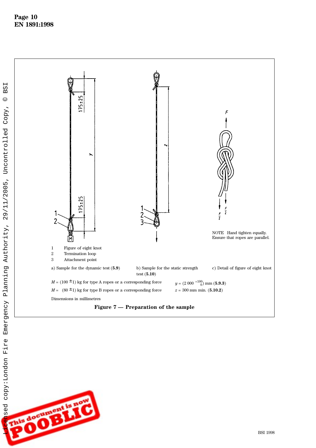

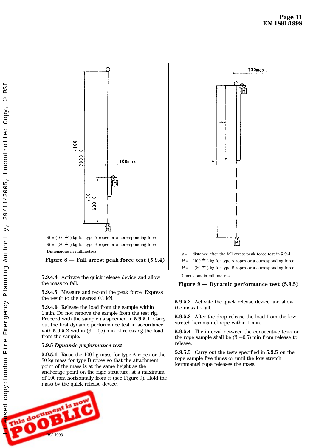



**5.9.4.4** Activate the quick release device and allow the mass to fall.

**5.9.4.5** Measure and record the peak force. Express the result to the nearest 0,1 kN.

**5.9.4.6** Release the load from the sample within 1 min. Do not remove the sample from the test rig. Proceed with the sample as specified in **5.9.5.1**. Carry out the first dynamic performance test in accordance with **5.9.5.2** within  $(3\pm0.5)$  min of releasing the load from the sample.

# **5.9.5** *Dynamic performance test*

**5.9.5.1** Raise the 100 kg mass for type A ropes or the 80 kg mass for type B ropes so that the attachment point of the mass is at the same height as the anchorage point on the rigid structure, at a maximum of 100 mm horizontally from it (see Figure 9). Hold the mass by the quick release device.





**5.9.5.2** Activate the quick release device and allow the mass to fall.

**5.9.5.3** After the drop release the load from the low stretch kernmantel rope within 1 min.

**5.9.5.4** The interval between the consecutive tests on the rope sample shall be  $(3\pm 0.5)$  min from release to release.

**5.9.5.5** Carry out the tests specified in **5.9.5** on the rope sample five times or until the low stretch kernmantel rope releases the mass.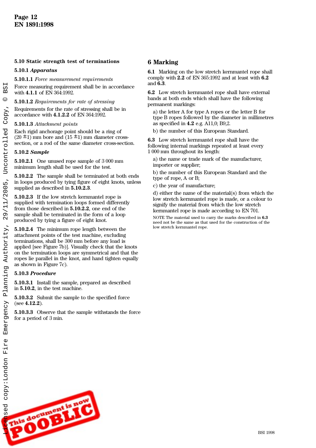# **5.10 Static strength test of terminations**

#### **5.10.1** *Apparatus*

BSI

 $\odot$ 

 $Copy$ ,

**5.10.1.1** *Force measurement requirements*

Force measuring requirement shall be in accordance with **4.1.1** of EN 364:1992.

**5.10.1.2** *Requirements for rate of stressing*

Requirements for the rate of stressing shall be in accordance with **4.1.2.2** of EN 364:1992.

**5.10.1.3** *Attachment points*

Each rigid anchorage point should be a ring of  $(20 \pm 1)$  mm bore and  $(15 \pm 1)$  mm diameter crosssection, or a rod of the same diameter cross-section.

#### **5.10.2** *Sample*

**5.10.2.1** One unused rope sample of 3 000 mm minimum length shall be used for the test.

**5.10.2.2** The sample shall be terminated at both ends in loops produced by tying figure of eight knots, unless supplied as described in **5.10.2.3**.

**5.10.2.3** If the low stretch kernmantel rope is supplied with termination loops formed differently from those described in **5.10.2.2**, one end of the sample shall be terminated in the form of a loop produced by tying a figure of eight knot.

**5.10.2.4** The minimum rope length between the attachment points of the test machine, excluding terminations, shall be 300 mm before any load is applied [see Figure 7b)]. Visually check that the knots on the termination loops are symmetrical and that the ropes lie parallel in the knot, and hand tighten equally as shown in Figure 7c).

#### **5.10.3** *Procedure*

**5.10.3.1** Install the sample, prepared as described in **5.10.2**, in the test machine.

**5.10.3.2** Submit the sample to the specified force (see **4.12.2**).

**5.10.3.3** Observe that the sample withstands the force for a period of 3 min.

# **6 Marking**

**6.1** Marking on the low stretch kernmantel rope shall comply with **2.2** of EN 365:1992 and at least with **6.2** and **6.3**.

**6.2** Low stretch kernmantel rope shall have external bands at both ends which shall have the following permanent markings:

a) the letter A for type A ropes or the letter B for type B ropes followed by the diameter in millimetres as specified in **4.2** e.g. A11,0; B9,2.

b) the number of this European Standard.

**6.3** Low stretch kernmantel rope shall have the following internal markings repeated at least every 1 000 mm throughout its length:

a) the name or trade mark of the manufacturer, importer or supplier;

b) the number of this European Standard and the type of rope, A or B;

c) the year of manufacture;

d) either the name of the material(s) from which the low stretch kernmantel rope is made, or a colour to signify the material from which the low stretch kernmantel rope is made according to EN 701.

NOTE The material used to carry the marks described in **6.3** need not be the same as that used for the construction of the low stretch kernmantel rope.



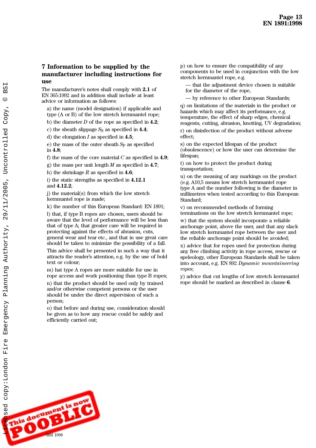# **7 Information to be supplied by the manufacturer including instructions for use**

The manufacturer's notes shall comply with **2.1** of EN 365:1992 and in addition shall include at least advice or information as follows:

a) the name (model designation) if applicable and type (A or B) of the low stretch kernmantel rope;

b) the diameter *D* of the rope as specified in **4.2**;

c) the sheath slippage  $S_S$  as specified in 4.4;

d) the elongation *I* as specified in **4.5**;

e) the mass of the outer sheath *S*<sub>P</sub> as specified in **4.8**;

f) the mass of the core material  $C$  as specified in  $4.9$ ;

g) the mass per unit length *M* as specified in **4.7**;

h) the shrinkage *R* as specified in **4.6**;

i) the static strengths as specified in **4.12.1** and **4.12.2**;

j) the material(s) from which the low stretch kernmantel rope is made;

k) the number of this European Standard: EN 1891;

l) that, if type B ropes are chosen, users should be aware that the level of performance will be less than that of type A; that greater care will be required in protecting against the effects of abrasion, cuts, general wear and tear etc., and that in use great care should be taken to minimize the possibility of a fall.

This advice shall be presented in such a way that it attracts the reader's attention, e.g. by the use of bold text or colour;

m) hat type A ropes are more suitable for use in rope access and work positioning than type B ropes; n) that the product should be used only by trained and/or otherwise competent persons or the user should be under the direct supervision of such a person;

o) that before and during use, consideration should be given as to how any rescue could be safely and efficiently carried out;

p) on how to ensure the compatibility of any components to be used in conjunction with the low stretch kernmantel rope, e.g.

Ð that the adjustment device chosen is suitable for the diameter of the rope,

Ð by reference to other European Standards; q) on limitations of the materials in the product or hazards which may affect its performance, e.g. temperature, the effect of sharp edges, chemical reagents, cutting, abrasion, knotting, UV degradation;

r) on disinfection of the product without adverse effect;

s) on the expected lifespan of the product (obsolescence) or how the user can determine the lifespan;

t) on how to protect the product during transportation;

u) on the meaning of any markings on the product (e.g. A10,5 means low stretch kernmantel rope type A and the number following is the diameter in millimetres when tested according to this European Standard;

v) on recommended methods of forming terminations on the low stretch kernmantel rope;

w) that the system should incorporate a reliable anchorage point, above the user, and that any slack low stretch kernmantel rope between the user and the reliable anchorage point should be avoided;

x) advice that for ropes used for protection during any free climbing activity in rope access, rescue or speleology, other European Standards shall be taken into account, e.g. EN 892 *Dynamic mountaineering ropes*;

y) advice that cut lengths of low stretch kernmantel rope should be marked as described in clause **6**.

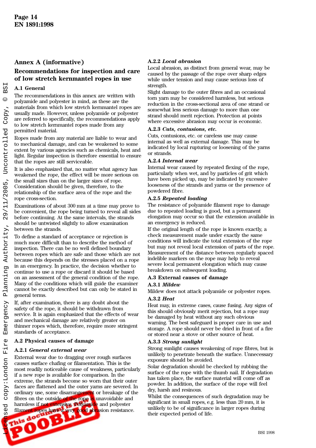**Annex A (informative)**

# **Recommendations for inspection and care of low stretch kernmantel ropes in use**

# **A.1 General**

The recommendations in this annex are written with polyamide and polyester in mind, as these are the materials from which low stretch kernmantel ropes are usually made. However, unless polyamide or polyester are referred to specifically, the recommendations apply to low stretch kernmantel ropes made from any permitted material.

Ropes made from any material are liable to wear and to mechanical damage, and can be weakened to some extent by various agencies such as chemicals, heat and light. Regular inspection is therefore essential to ensure that the ropes are still serviceable.

It is also emphasized that, no matter what agency has weakened the rope, the effect will be more serious on the small sizes than on the larger sizes of rope.

Consideration should be given, therefore, to the

relationship of the surface area of the rope and the rope cross-section.

Examinations of about 300 mm at a time may prove to be convenient, the rope being turned to reveal all sides before continuing. At the same intervals, the strands should be untwisted slightly to allow examination between the strands.

To define a standard of acceptance or rejection is much more difficult than to describe the method of inspection. There can be no well defined boundary between ropes which are safe and those which are not because this depends on the stresses placed on a rope in an emergency. In practice, the decision whether to continue to use a rope or discard it should be based on an assessment of the general condition of the rope. Many of the conditions which will guide the examiner cannot be exactly described but can only be stated in general terms.

If, after examination, there is any doubt about the safety of the rope, it should be withdrawn from service. It is again emphasized that the effects of wear and mechanical damage are relatively greater on thinner ropes which, therefore, require more stringent standards of acceptance.

# **A.2 Physical causes of damage**

# **A.2.1** *General external wear*

External wear due to dragging over rough surfaces causes surface chafing or filamentation. This is the most readily noticeable cause of weakness, particularly if a new rope is available for comparison. In the extreme, the strands become so worn that their outer faces are flattened and the outer yarns are severed. In ordinary use, some disarrangement or breakage of the fibres on the outside of the rope is unavoidable and harmless if not extensive. Polyamide and polyester filament ropes have a very good abrasion resistance.

# **A.2.2** *Local abrasion*

Local abrasion, as distinct from general wear, may be caused by the passage of the rope over sharp edges while under tension and may cause serious loss of strength.

Slight damage to the outer fibres and an occasional torn yarn may be considered harmless, but serious reduction in the cross-sectional area of one strand or somewhat less serious damage to more than one strand should merit rejection. Protection at points where excessive abrasion may occur is economic.

# **A.2.3** *Cuts, contusions, etc.*

Cuts, contusions, etc. or careless use may cause internal as well as external damage. This may be indicated by local rupturing or loosening of the yarns or strands.

# **A.2.4** *Internal wear*

Internal wear caused by repeated flexing of the rope, particularly when wet, and by particles of grit which have been picked up, may be indicated by excessive looseness of the strands and yarns or the presence of powdered fibre.

# **A.2.5** *Repeated loading*

The resistance of polyamide filament rope to damage due to repeated loading is good, but a permanent elongation may occur so that the extension available in an emergency is reduced.

If the original length of the rope is known exactly, a check measurement made under exactly the same conditions will indicate the total extension of the rope but may not reveal local extension of parts of the rope. Measurement of the distance between regularly spaced indelible markers on the rope may help to reveal severe local permanent elongation which may cause breakdown on subsequent loading.

# **A.3 External causes of damage**

# **A.3.1** *Mildew*

Mildew does not attack polyamide or polyester ropes.

# **A.3.2** *Heat*

Heat may, in extreme cases, cause fusing. Any signs of this should obviously merit rejection, but a rope may be damaged by heat without any such obvious warning. The best safeguard is proper care in use and storage. A rope should never be dried in front of a fire or stored near a stove or other source of heat.

# **A.3.3** *Strong sunlight*

Strong sunlight causes weakening of rope fibres, but is unlikely to penetrate beneath the surface. Unnecessary exposure should be avoided.

Solar degradation should be checked by rubbing the surface of the rope with the thumb nail. If degradation has taken place, the surface material will come off as powder. In addition, the surface of the rope will feel dry, harsh and resinous.

Whilst the consequences of such degradation may be significant in small ropes, e.g. less than 20 mm, it is unlikely to be of significance in larger ropes during their expected period of life.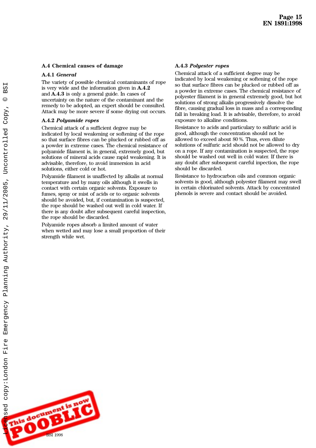# **A.4 Chemical causes of damage**

# **A.4.1** *General*

The variety of possible chemical contaminants of rope is very wide and the information given in **A.4.2** and **A.4.3** is only a general guide. In cases of uncertainty on the nature of the contaminant and the remedy to be adopted, an expert should be consulted. Attack may be more severe if some drying out occurs.

# **A.4.2** *Polyamide ropes*

Chemical attack of a sufficient degree may be indicated by local weakening or softening of the rope so that surface fibres can be plucked or rubbed off as a powder in extreme cases. The chemical resistance of polyamide filament is, in general, extremely good, but solutions of mineral acids cause rapid weakening. It is advisable, therefore, to avoid immersion in acid solutions, either cold or hot.

Polyamide filament is unaffected by alkalis at normal temperature and by many oils although it swells in contact with certain organic solvents. Exposure to fumes, spray or mist of acids or to organic solvents should be avoided, but, if contamination is suspected, the rope should be washed out well in cold water. If there is any doubt after subsequent careful inspection, the rope should be discarded.

Polyamide ropes absorb a limited amount of water when wetted and may lose a small proportion of their strength while wet.

# **A.4.3** *Polyester ropes*

Chemical attack of a sufficient degree may be indicated by local weakening or softening of the rope so that surface fibres can be plucked or rubbed off as a powder in extreme cases. The chemical resistance of polyester filament is in general extremely good, but hot solutions of strong alkalis progressively dissolve the fibre, causing gradual loss in mass and a corresponding fall in breaking load. It is advisable, therefore, to avoid exposure to alkaline conditions.

Resistance to acids and particulary to sulfuric acid is good, although the concentration should not be allowed to exceed about 80 %. Thus, even dilute solutions of sulfuric acid should not be allowed to dry on a rope. If any contamination is suspected, the rope should be washed out well in cold water. If there is any doubt after subsequent careful inpection, the rope should be discarded.

Resistance to hydrocarbon oils and common organic solvents is good, although polyester filament may swell in certain chlorinated solvents. Attack by concentrated phenols is severe and contact should be avoided.

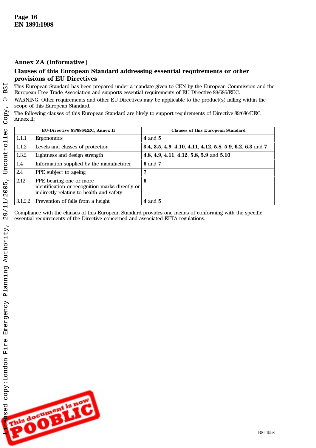# **Annex ZA (informative)**

# **Clauses of this European Standard addressing essential requirements or other provisions of EU Directives**

This European Standard has been prepared under a mandate given to CEN by the European Commission and the European Free Trade Association and supports essential requirements of EU Directive 89/686/EEC.

WARNING. Other requirements and other EU Directives may be applicable to the product(s) falling within the scope of this European Standard.

The following clauses of this European Standard are likely to support requirements of Directive 89/686/EEC, Annex II:

|       | EU-Directive 89/686/EEC, Annex II                                                                                      | <b>Clauses of this European Standard</b>                  |
|-------|------------------------------------------------------------------------------------------------------------------------|-----------------------------------------------------------|
| 1.1.1 | Ergonomics                                                                                                             | <b>4</b> and 5                                            |
| 1.1.2 | Levels and classes of protection                                                                                       | 3.4, 3.5, 4.9, 4.10, 4.11, 4.12, 5.8, 5.9, 6.2, 6.3 and 7 |
| 1.3.2 | Lightness and design strength                                                                                          | 4.8, 4.9, 4.11, 4.12, 5.8, 5.9 and 5.10                   |
| 1.4   | Information supplied by the manufacturer                                                                               | <b>6</b> and 7                                            |
| 2.4   | PPE subject to ageing                                                                                                  | 7                                                         |
| 2.12  | PPE bearing one or more<br>identification or recognition marks directly or<br>indirectly relating to health and safety | 6                                                         |
|       | 3.1.2.2 Prevention of falls from a height                                                                              | <b>4</b> and 5                                            |

Compliance with the clauses of this European Standard provides one means of conforming with the specific essential requirements of the Directive concerned and associated EFTA regulations.



BSI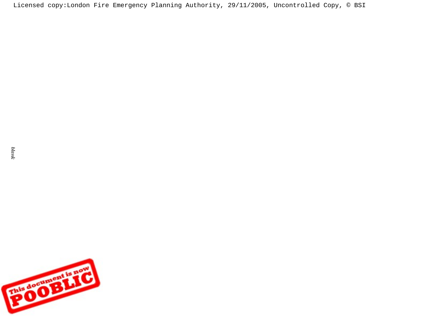Licensed copy:London Fire Emergency Planning Authority, 29/11/2005, Uncontrolled Copy, © BSI